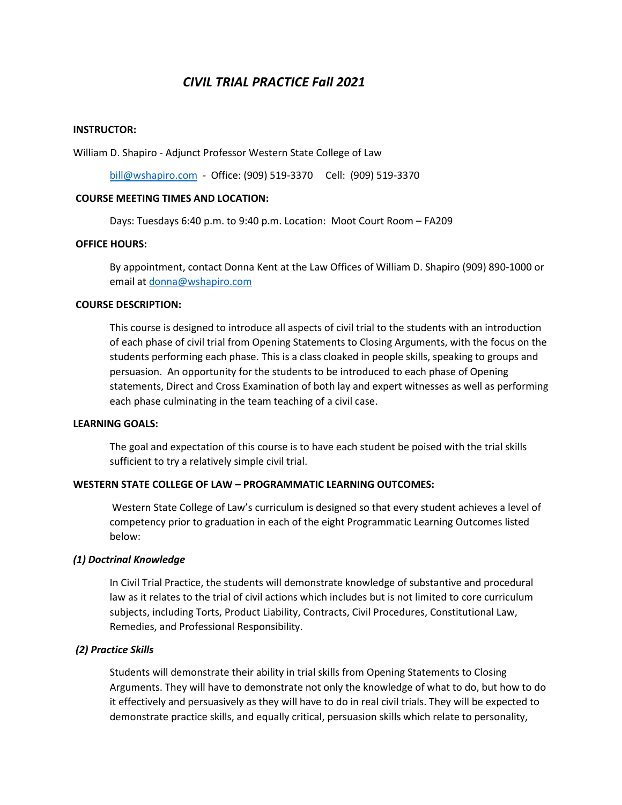# *CIVIL TRIAL PRACTICE Fall 2021*

#### **INSTRUCTOR:**

William D. Shapiro - Adjunct Professor Western State College of Law

[bill@wshapiro.com](mailto:bill@wshapiro.com) - Office: (909) 519-3370 Cell: (909) 519-3370

#### **COURSE MEETING TIMES AND LOCATION:**

Days: Tuesdays 6:40 p.m. to 9:40 p.m. Location: Moot Court Room – FA209

#### **OFFICE HOURS:**

By appointment, contact Donna Kent at the Law Offices of William D. Shapiro (909) 890-1000 or email a[t donna@wshapiro.com](mailto:donna@wshapiro.com)

#### **COURSE DESCRIPTION:**

This course is designed to introduce all aspects of civil trial to the students with an introduction of each phase of civil trial from Opening Statements to Closing Arguments, with the focus on the students performing each phase. This is a class cloaked in people skills, speaking to groups and persuasion. An opportunity for the students to be introduced to each phase of Opening statements, Direct and Cross Examination of both lay and expert witnesses as well as performing each phase culminating in the team teaching of a civil case.

#### **LEARNING GOALS:**

The goal and expectation of this course is to have each student be poised with the trial skills sufficient to try a relatively simple civil trial.

#### **WESTERN STATE COLLEGE OF LAW – PROGRAMMATIC LEARNING OUTCOMES:**

Western State College of Law's curriculum is designed so that every student achieves a level of competency prior to graduation in each of the eight Programmatic Learning Outcomes listed below:

#### *(1) Doctrinal Knowledge*

In Civil Trial Practice, the students will demonstrate knowledge of substantive and procedural law as it relates to the trial of civil actions which includes but is not limited to core curriculum subjects, including Torts, Product Liability, Contracts, Civil Procedures, Constitutional Law, Remedies, and Professional Responsibility.

#### *(2) Practice Skills*

Students will demonstrate their ability in trial skills from Opening Statements to Closing Arguments. They will have to demonstrate not only the knowledge of what to do, but how to do it effectively and persuasively as they will have to do in real civil trials. They will be expected to demonstrate practice skills, and equally critical, persuasion skills which relate to personality,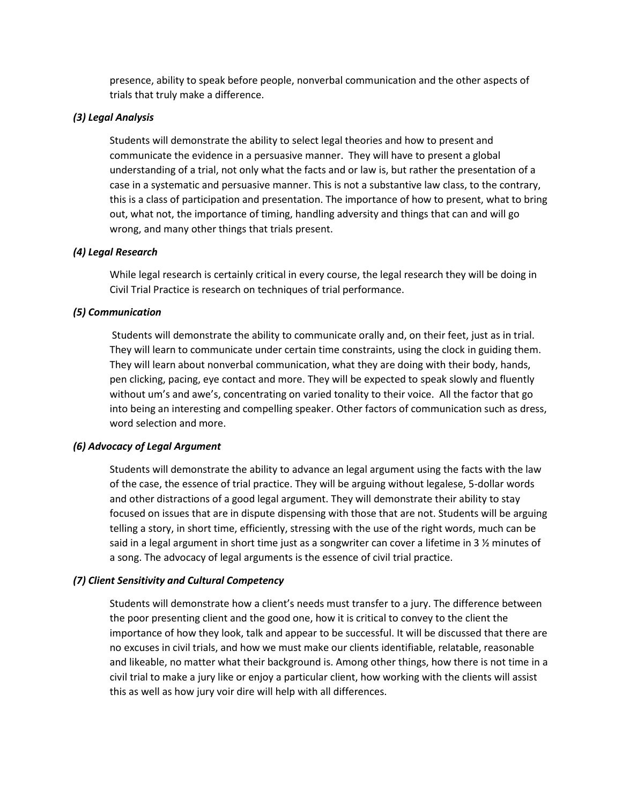presence, ability to speak before people, nonverbal communication and the other aspects of trials that truly make a difference.

# *(3) Legal Analysis*

Students will demonstrate the ability to select legal theories and how to present and communicate the evidence in a persuasive manner. They will have to present a global understanding of a trial, not only what the facts and or law is, but rather the presentation of a case in a systematic and persuasive manner. This is not a substantive law class, to the contrary, this is a class of participation and presentation. The importance of how to present, what to bring out, what not, the importance of timing, handling adversity and things that can and will go wrong, and many other things that trials present.

# *(4) Legal Research*

While legal research is certainly critical in every course, the legal research they will be doing in Civil Trial Practice is research on techniques of trial performance.

# *(5) Communication*

Students will demonstrate the ability to communicate orally and, on their feet, just as in trial. They will learn to communicate under certain time constraints, using the clock in guiding them. They will learn about nonverbal communication, what they are doing with their body, hands, pen clicking, pacing, eye contact and more. They will be expected to speak slowly and fluently without um's and awe's, concentrating on varied tonality to their voice. All the factor that go into being an interesting and compelling speaker. Other factors of communication such as dress, word selection and more.

## *(6) Advocacy of Legal Argument*

Students will demonstrate the ability to advance an legal argument using the facts with the law of the case, the essence of trial practice. They will be arguing without legalese, 5-dollar words and other distractions of a good legal argument. They will demonstrate their ability to stay focused on issues that are in dispute dispensing with those that are not. Students will be arguing telling a story, in short time, efficiently, stressing with the use of the right words, much can be said in a legal argument in short time just as a songwriter can cover a lifetime in 3  $\frac{1}{2}$  minutes of a song. The advocacy of legal arguments is the essence of civil trial practice.

## *(7) Client Sensitivity and Cultural Competency*

Students will demonstrate how a client's needs must transfer to a jury. The difference between the poor presenting client and the good one, how it is critical to convey to the client the importance of how they look, talk and appear to be successful. It will be discussed that there are no excuses in civil trials, and how we must make our clients identifiable, relatable, reasonable and likeable, no matter what their background is. Among other things, how there is not time in a civil trial to make a jury like or enjoy a particular client, how working with the clients will assist this as well as how jury voir dire will help with all differences.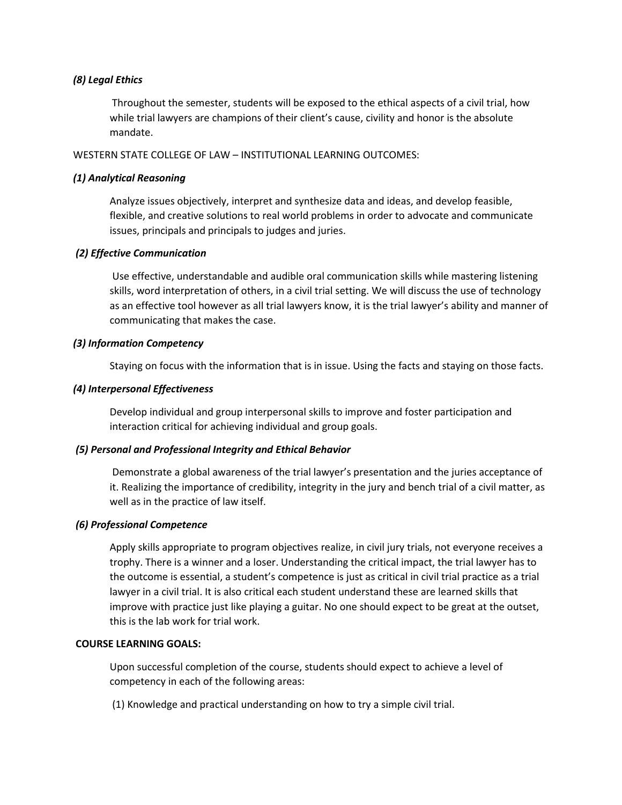# *(8) Legal Ethics*

Throughout the semester, students will be exposed to the ethical aspects of a civil trial, how while trial lawyers are champions of their client's cause, civility and honor is the absolute mandate.

#### WESTERN STATE COLLEGE OF LAW – INSTITUTIONAL LEARNING OUTCOMES:

## *(1) Analytical Reasoning*

Analyze issues objectively, interpret and synthesize data and ideas, and develop feasible, flexible, and creative solutions to real world problems in order to advocate and communicate issues, principals and principals to judges and juries.

## *(2) Effective Communication*

Use effective, understandable and audible oral communication skills while mastering listening skills, word interpretation of others, in a civil trial setting. We will discuss the use of technology as an effective tool however as all trial lawyers know, it is the trial lawyer's ability and manner of communicating that makes the case.

## *(3) Information Competency*

Staying on focus with the information that is in issue. Using the facts and staying on those facts.

## *(4) Interpersonal Effectiveness*

Develop individual and group interpersonal skills to improve and foster participation and interaction critical for achieving individual and group goals.

## *(5) Personal and Professional Integrity and Ethical Behavior*

Demonstrate a global awareness of the trial lawyer's presentation and the juries acceptance of it. Realizing the importance of credibility, integrity in the jury and bench trial of a civil matter, as well as in the practice of law itself.

## *(6) Professional Competence*

Apply skills appropriate to program objectives realize, in civil jury trials, not everyone receives a trophy. There is a winner and a loser. Understanding the critical impact, the trial lawyer has to the outcome is essential, a student's competence is just as critical in civil trial practice as a trial lawyer in a civil trial. It is also critical each student understand these are learned skills that improve with practice just like playing a guitar. No one should expect to be great at the outset, this is the lab work for trial work.

#### **COURSE LEARNING GOALS:**

Upon successful completion of the course, students should expect to achieve a level of competency in each of the following areas:

(1) Knowledge and practical understanding on how to try a simple civil trial.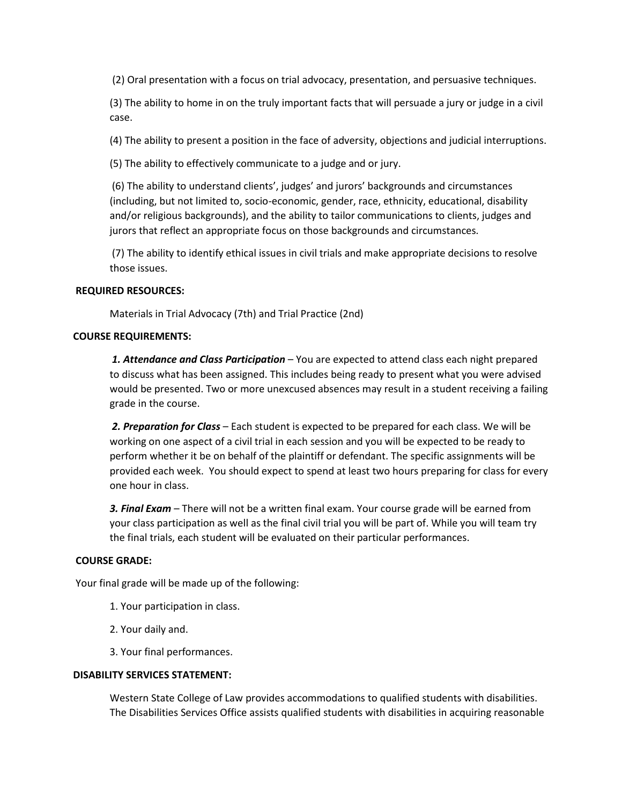(2) Oral presentation with a focus on trial advocacy, presentation, and persuasive techniques.

(3) The ability to home in on the truly important facts that will persuade a jury or judge in a civil case.

(4) The ability to present a position in the face of adversity, objections and judicial interruptions.

(5) The ability to effectively communicate to a judge and or jury.

(6) The ability to understand clients', judges' and jurors' backgrounds and circumstances (including, but not limited to, socio-economic, gender, race, ethnicity, educational, disability and/or religious backgrounds), and the ability to tailor communications to clients, judges and jurors that reflect an appropriate focus on those backgrounds and circumstances.

(7) The ability to identify ethical issues in civil trials and make appropriate decisions to resolve those issues.

## **REQUIRED RESOURCES:**

Materials in Trial Advocacy (7th) and Trial Practice (2nd)

#### **COURSE REQUIREMENTS:**

*1. Attendance and Class Participation* – You are expected to attend class each night prepared to discuss what has been assigned. This includes being ready to present what you were advised would be presented. Two or more unexcused absences may result in a student receiving a failing grade in the course.

*2. Preparation for Class* – Each student is expected to be prepared for each class. We will be working on one aspect of a civil trial in each session and you will be expected to be ready to perform whether it be on behalf of the plaintiff or defendant. The specific assignments will be provided each week. You should expect to spend at least two hours preparing for class for every one hour in class.

*3. Final Exam* – There will not be a written final exam. Your course grade will be earned from your class participation as well as the final civil trial you will be part of. While you will team try the final trials, each student will be evaluated on their particular performances.

## **COURSE GRADE:**

Your final grade will be made up of the following:

- 1. Your participation in class.
- 2. Your daily and.
- 3. Your final performances.

#### **DISABILITY SERVICES STATEMENT:**

Western State College of Law provides accommodations to qualified students with disabilities. The Disabilities Services Office assists qualified students with disabilities in acquiring reasonable